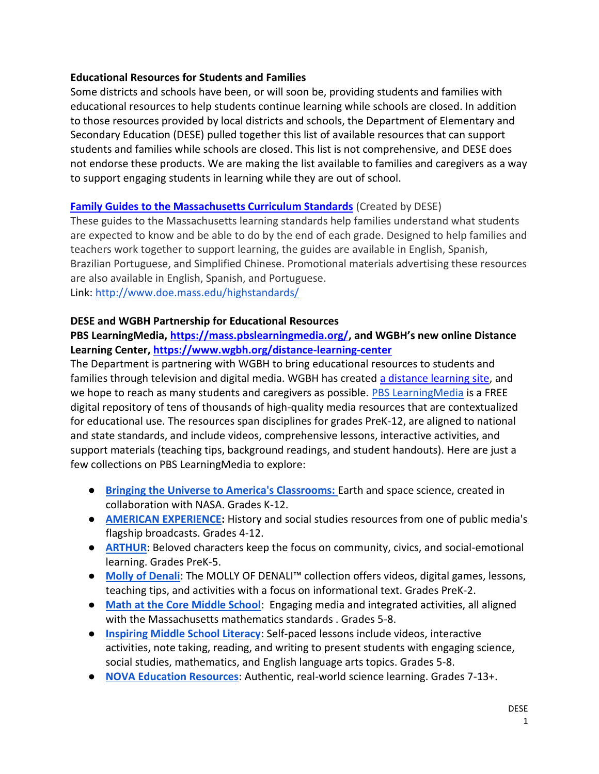### **Educational Resources for Students and Families**

 Some districts and schools have been, or will soon be, providing students and families with educational resources to help students continue learning while schools are closed. In addition to those resources provided by local districts and schools, the Department of Elementary and Secondary Education (DESE) pulled together this list of available resources that can support students and families while schools are closed. This list is not comprehensive, and DESE does not endorse these products. We are making the list available to families and caregivers as a way to support engaging students in learning while they are out of school.

### **[Family Guides to the Massachusetts Curriculum Standards](http://www.doe.mass.edu/highstandards/)** (Created by DESE)

 These guides to the Massachusetts learning standards help families understand what students are expected to know and be able to do by the end of each grade. Designed to help families and teachers work together to support learning, the guides are available in English, Spanish, Brazilian Portuguese, and Simplified Chinese. Promotional materials advertising these resources are also available in English, Spanish, and Portuguese. Link:<http://www.doe.mass.edu/highstandards/>

#### **DESE and WGBH Partnership for Educational Resources**

### **PBS LearningMedia,<https://mass.pbslearningmedia.org/>, and WGBH's new online Distance Learning Center,<https://www.wgbh.org/distance-learning-center>**

 The Department is partnering with WGBH to bring educational resources to students and families through television and digital media. WGBH has created [a distance learning site,](https://www.wgbh.org/distance-learning-center) and digital repository of tens of thousands of high-quality media resources that are contextualized for educational use. The resources span disciplines for grades PreK-12, are aligned to national support materials (teaching tips, background readings, and student handouts). Here are just a we hope to reach as many students and caregivers as possible. [PBS LearningMedia](https://urldefense.proofpoint.com/v2/url?u=https-3A__mass.pbslearningmedia.org_&d=DwMFaQ&c=lDF7oMaPKXpkYvev9V-fVahWL0QWnGCCAfCDz1Bns_w&r=2pOMRbJ6hO7-RCX3EwVvNy3crKk-iEkR8Y4sFuCsN14&m=vaHWlUC0CkixOZf8QHCFUDD8vZjVxJQnHn0Fbu1H6XE&s=RdKFyBur657KhEiHKO4xWIdXMq0lyrzVdRZxy8NHD4U&e=) is a FREE and state standards, and include videos, comprehensive lessons, interactive activities, and few collections on PBS LearningMedia to explore:

- **Bringing the Universe to America's Classrooms:** Earth and space science, created in collaboration with NASA. Grades K-12.
- ● **[AMERICAN EXPERIENCE:](https://urldefense.proofpoint.com/v2/url?u=https-3A__mass.pbslearningmedia.org_collection_amex_&d=DwMFaQ&c=lDF7oMaPKXpkYvev9V-fVahWL0QWnGCCAfCDz1Bns_w&r=2pOMRbJ6hO7-RCX3EwVvNy3crKk-iEkR8Y4sFuCsN14&m=vaHWlUC0CkixOZf8QHCFUDD8vZjVxJQnHn0Fbu1H6XE&s=xlCikm9t6qh-icelcFGy4U5U9tbDxy1BLgEsnd1OdBw&e=)** History and social studies resources from one of public media's flagship broadcasts. Grades 4-12.
- **[ARTHUR](https://urldefense.proofpoint.com/v2/url?u=http-3A__r20.rs6.net_tn.jsp-3Ff-3D001eYNtwF-2D7EpodxJ9-5FMdexBD7gY6D7oO6x72f2YM36LETGYzOIk5kphlJ54PCSqXoo-5F6PmPARYFA1VLST-5FNYsJVV6oK8zLFAsUws35iLGvOGyoSRdlH6vDXgo3eCcP6g5XnBAZSJmIa7bQhgkR8yRsDcANN6YD4Iq-2Dcp8KwLUmVNvYNTJyr8ChY8PaxkMUn0qgCnVZw5L6iaM-3D-26c-3DFMDex0J5c76DuxTccYQ6shMPAVbQ1QqbevwA2vwN9YjdZGU36OWHkQ-3D-3D-26ch-3DAEmHyNXimwPtOZpfqyA-2DmyH-2DSku47hR4n4zAyR-5F1WaHFnRxjDCNWSQ-3D-3D&d=DwMFaQ&c=lDF7oMaPKXpkYvev9V-fVahWL0QWnGCCAfCDz1Bns_w&r=2pOMRbJ6hO7-RCX3EwVvNy3crKk-iEkR8Y4sFuCsN14&m=vaHWlUC0CkixOZf8QHCFUDD8vZjVxJQnHn0Fbu1H6XE&s=gwFj4zKIFeixfsBA7kxu2RQ8CYO9hO5lX4YNP0vKaBE&e=):** Beloved characters keep the focus on community, civics, and social-emotional learning. Grades PreK-5.
- **[Molly of Denali](https://urldefense.proofpoint.com/v2/url?u=https-3A__mass.pbslearningmedia.org_collection_molly-2Dof-2Ddenali_&d=DwMFaQ&c=lDF7oMaPKXpkYvev9V-fVahWL0QWnGCCAfCDz1Bns_w&r=2pOMRbJ6hO7-RCX3EwVvNy3crKk-iEkR8Y4sFuCsN14&m=vaHWlUC0CkixOZf8QHCFUDD8vZjVxJQnHn0Fbu1H6XE&s=8mkvx070PoSy5KHxsD2Hqa3VgkGRQc9EB4eM3A_quW4&e=)**: The MOLLY OF DENALI<sup>™</sup> collection offers videos, digital games, lessons, teaching tips, and activities with a focus on informational text. Grades PreK-2.
- **[Math at the Core Middle School](https://urldefense.proofpoint.com/v2/url?u=https-3A__mass.pbslearningmedia.org_collection_mathcore_&d=DwMFaQ&c=lDF7oMaPKXpkYvev9V-fVahWL0QWnGCCAfCDz1Bns_w&r=2pOMRbJ6hO7-RCX3EwVvNy3crKk-iEkR8Y4sFuCsN14&m=vaHWlUC0CkixOZf8QHCFUDD8vZjVxJQnHn0Fbu1H6XE&s=W9scGth6KpBX25mk8GGyBsNRMFOn39Buhzb6HvMiEwg&e=)**: Engaging media and integrated activities, all aligned with the Massachusetts mathematics standards . Grades 5-8.
- **[Inspiring Middle School Literacy](https://urldefense.proofpoint.com/v2/url?u=https-3A__mass.pbslearningmedia.org_collection_midlit_&d=DwMFaQ&c=lDF7oMaPKXpkYvev9V-fVahWL0QWnGCCAfCDz1Bns_w&r=2pOMRbJ6hO7-RCX3EwVvNy3crKk-iEkR8Y4sFuCsN14&m=vaHWlUC0CkixOZf8QHCFUDD8vZjVxJQnHn0Fbu1H6XE&s=vh4sRCjBafHShzXekO6FoFlkeTfQrOL7hO8W7txY4lU&e=)**: Self-paced lessons include videos, interactive social studies, mathematics, and English language arts topics. Grades 5-8. activities, note taking, reading, and writing to present students with engaging science,
- **[NOVA Education Resources](https://urldefense.proofpoint.com/v2/url?u=https-3A__mass.pbslearningmedia.org_collection_nova_&d=DwMFaQ&c=lDF7oMaPKXpkYvev9V-fVahWL0QWnGCCAfCDz1Bns_w&r=2pOMRbJ6hO7-RCX3EwVvNy3crKk-iEkR8Y4sFuCsN14&m=vaHWlUC0CkixOZf8QHCFUDD8vZjVxJQnHn0Fbu1H6XE&s=xbysTZlXWP6Gq9MwjQH8eUkHxBUs3S5hEX5ooKYphn4&e=)**: Authentic, real-world science learning. Grades 7-13+.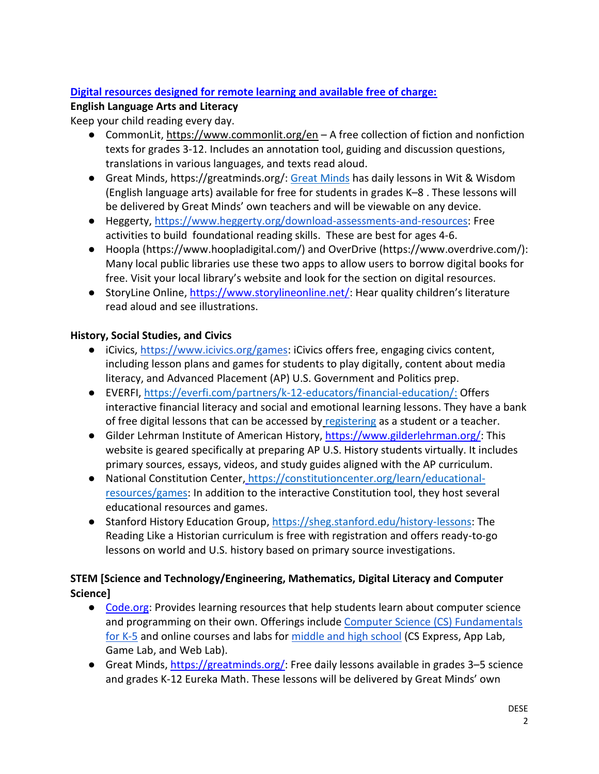## **Digital resources designed for remote learning and available free of charge:**

### **English Language Arts and Literacy**

Keep your child reading every day.

- CommonLit[, https://www.commonlit.org/en](https://www.commonlit.org/en)  A free collection of fiction and nonfiction texts for grades 3-12. Includes an annotation tool, guiding and discussion questions, translations in various languages, and texts read aloud.
- Great Minds, [https://greatminds.org/](https://greatminds.org)[: G](https://urldefense.proofpoint.com/v2/url?u=https-3A__greatminds.org_&d=DwMFaQ&c=lDF7oMaPKXpkYvev9V-fVahWL0QWnGCCAfCDz1Bns_w&r=2pOMRbJ6hO7-RCX3EwVvNy3crKk-iEkR8Y4sFuCsN14&m=ofmkPyXeI9_33QyUm3DTyNdOKhwkAhAai0-eP1E8TJc&s=MQ70hgWRasiNfxk2GBKLrtpWzZmMv9MnO6Cl04scmiE&e=)reat Minds has daily lessons in Wit & Wisdom (English language arts) available for free for students in grades K–8 . These lessons will be delivered by Great Minds' own teachers and will be viewable on any device.
- activities to build foundational reading skills. These are best for ages 4-6. ● Heggerty, [https://www.heggerty.org/download-assessments-and-resources:](https://www.heggerty.org/download-assessments-and-resources) Free
- Many local public libraries use these two apps to allow users to borrow digital books for free. Visit your local library's website and look for the section on digital resources. ● Hoopla [\(https://www.hoopladigital.com/](https://www.hoopladigital.com)) and OverDrive [\(https://www.overdrive.com](https://www.overdrive.com)/):
- read aloud and see illustrations. ● StoryLine Online, [https://www.storylineonline.net/:](https://www.storylineonline.net/) Hear quality children's literature

## **History, Social Studies, and Civics**

- including lesson plans and games for students to play digitally, content about media ● iCivics[, https://www.icivics.org/games:](https://www.icivics.org/games) iCivics offers free, engaging civics content, literacy, and Advanced Placement (AP) U.S. Government and Politics prep.
- interactive financial literacy and social and emotional learning lessons. They have a bank of free digital lessons that can be accessed b[y registering](https://platform.everfi.net/new_registration?role=teacher) as a student or a teacher. ● EVERFI, [https://everfi.com/partners/k-12-educators/financial-education/:](https://everfi.com/partners/k-12-educators/financial-education/) Offers
- Gilder Lehrman Institute of American History, [https://www.gilderlehrman.org/:](https://www.gilderlehrman.org/) This website is geared specifically at preparing AP U.S. History students virtually. It includes primary sources, essays, videos, and study guides aligned with the AP curriculum[.](https://www.ted.com/watch/ted-ed)
- [resources/games:](https://constitutioncenter.org/learn/educational-resources/games) In addition to the interactive Constitution tool, they host several ● National Constitution Center[,](file:///C:/Users/lcorrea/AppData/Local/Microsoft/Windows/INetCache/Content.Outlook/M8411WAV/) [https://constitutioncenter.org/learn/educational](https://constitutioncenter.org/learn/educational-resources/games)educational resources and games.
- Reading Like a Historian curriculum is free with registration and offers ready-to-go lessons on world and U.S. history based on primary source investigations[.](https://sheg.stanford.edu/history-lessons)  ● Stanford History Education Group, [https://sheg.stanford.edu/history-lessons:](https://sheg.stanford.edu/history-lessons) The

## **STEM [Science and Technology/Engineering, Mathematics, Digital Literacy and Computer Science]**

- [for K-5](https://code.org/educate/curriculum/elementary-school) and online courses and labs for <u>middle and high school</u> (CS Express, App Lab, Game Lab, and Web Lab). ● [Code.org:](https://code.org/) Provides learning resources that help students learn about computer science and programming on their own. Offerings include Computer Science (CS) Fundamentals
- and grades K-12 Eureka Math. These lessons will be delivered by Great Minds' own ● Great Minds, [https://greatminds.org/:](https://greatminds.org/) Free daily lessons available in grades 3–5 science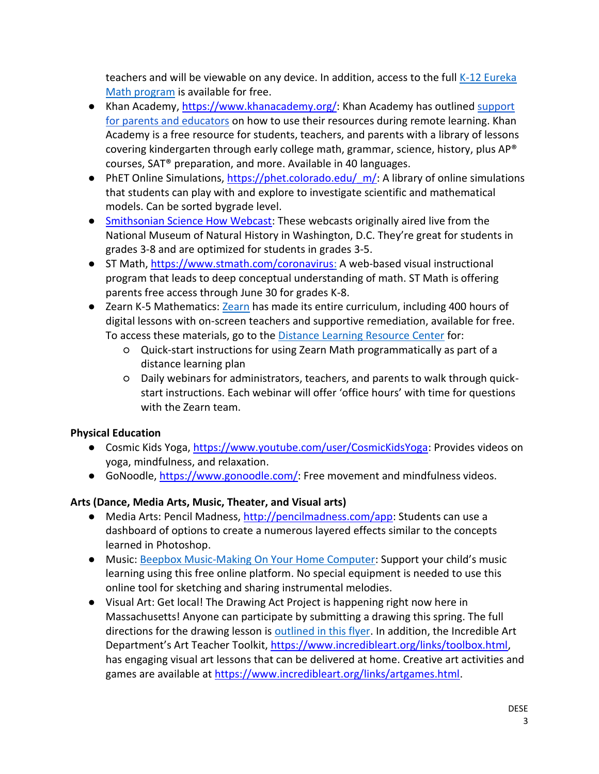teachers and will be viewable on any device. In addition, access to the full K-12 Eureka [Math program](https://urldefense.proofpoint.com/v2/url?u=https-3A__greatminds.org_math-3Futm-5Fcampaign-3DKnowledge-2520for-2520All-2520-257C-2520Coronavirus-25202020-26utm-5Fsource-3Dhs-5Femail-26utm-5Fmedium-3Demail-26utm-5Fcontent-3D84728618-26-5Fhsenc-3Dp2ANqtz-2D-5F0obpfCug8fh-5FL99YeXNI4p9GQkVAe2ZQLjXU6fSQWYqsUbp9IbcYw0G5sq1j6qBaDri53UZNoaqn5lYOGRh8AilnLhA-26-5Fhsmi-3D84728618&d=DwMFaQ&c=lDF7oMaPKXpkYvev9V-fVahWL0QWnGCCAfCDz1Bns_w&r=2pOMRbJ6hO7-RCX3EwVvNy3crKk-iEkR8Y4sFuCsN14&m=ofmkPyXeI9_33QyUm3DTyNdOKhwkAhAai0-eP1E8TJc&s=5KDUSqdLyeLWbH2mWsfzvsFOOBbifRJuckJVYAmkKm8&e=) is available for free.

- Khan Academy, [https://www.khanacademy.org/:](https://www.khanacademy.org/) Khan Academy has outlined support [for parents and educators](https://khanacademy.zendesk.com/hc/en-us/articles/360040167432-How-can-Khan-Academy-be-used-for-remote-learning-during-school-closures-) on how to use their resources during remote learning. Khan Academy is a free resource for students, teachers, and parents with a library of lessons covering kindergarten through early college math, grammar, science, history, plus AP® courses, SAT® preparation, and more. Available in 40 languages.
- that students can play with and explore to investigate scientific and mathematical models. Can be sorted bygrade level. • PhET Online Simulations, https://phet.colorado.edu/ $m/$ : A library of online simulations
- **•** [Smithsonian Science How Webcast:](file:///C:/Users/lcorrea/AppData/Local/Microsoft/Windows/INetCache/Content.Outlook/M8411WAV/Smithsonian%20Science%20How%20Webcast) These webcasts originally aired live from the National Museum of Natural History in Washington, D.C. They're great for students in grades 3-8 and are optimized for students in grades 3-5.
- ST Math, [https://www.stmath.com/coronavirus:](https://www.stmath.com/coronavirus) A web-based visual instructional program that leads to deep conceptual understanding of math. ST Math is offering parents free access through June 30 for grades K-8.
- Zearn K-5 Mathematics[: Zearn](https://urldefense.proofpoint.com/v2/url?u=https-3A__about.zearn.org_-3Futm-5Fcampaign-3Dhomepage-26utm-5Fmedium-3Dnative-26utm-5Fsource-3Dhomepage&d=DwMFaQ&c=lDF7oMaPKXpkYvev9V-fVahWL0QWnGCCAfCDz1Bns_w&r=2pOMRbJ6hO7-RCX3EwVvNy3crKk-iEkR8Y4sFuCsN14&m=ofmkPyXeI9_33QyUm3DTyNdOKhwkAhAai0-eP1E8TJc&s=FodwEnmPbAPCeZVZ8jIxlsSQOi_5FDZazlknyM8vsoo&e=) has made its entire curriculum, including 400 hours of digital lessons with on-screen teachers and supportive remediation, available for free. To access these materials, go to th[e Distance Learning Resource Center](https://urldefense.proofpoint.com/v2/url?u=https-3A__about.zearn.org_distance-2Dlearning-3Futm-5Fcampaign-3Ddistance-2Dlearning-26utm-5Fmedium-3Demail-26utm-5Fsource-3Dmailchimp-26utm-5Fcontent-3Dfoz-2Demail-26utm-5Fsource-3DZearn-2BMath-26utm-5Fcampaign-3Df26df34843-2DEMAIL-5FCAMPAIGN-5F2019-5F11-5F18-5F09-5F43-5FCOPY-5F01-26utm-5Fmedium-3Demail-26utm-5Fterm-3D0-5F28cf441e67-2Df26df34843-2D499048441&d=DwMFaQ&c=lDF7oMaPKXpkYvev9V-fVahWL0QWnGCCAfCDz1Bns_w&r=2pOMRbJ6hO7-RCX3EwVvNy3crKk-iEkR8Y4sFuCsN14&m=ofmkPyXeI9_33QyUm3DTyNdOKhwkAhAai0-eP1E8TJc&s=Yzd0xMG8Mtm7JVQnu5tQA0UF1SxE-9NTXOSonf6msDo&e=) for:
	- ○ Quick-start instructions for using Zearn Math programmatically as part of a distance learning plan
	- ○ Daily webinars for administrators, teachers, and parents to walk through quick- start instructions. Each webinar will offer 'office hours' with time for questions with the Zearn team.

# **Physical Education**

- Cosmic Kids Yoga, [https://www.youtube.com/user/CosmicKidsYoga:](https://www.youtube.com/user/CosmicKidsYoga) Provides videos on yoga, mindfulness, and relaxation.
- GoNoodle, [https://www.gonoodle.com/:](https://www.gonoodle.com/) Free movement and mindfulness videos.

# **Arts (Dance, Media Arts, Music, Theater, and Visual arts)**

- Media Arts: Pencil Madness, [http://pencilmadness.com/app:](http://pencilmadness.com/app) Students can use a dashboard of options to create a numerous layered effects similar to the concepts learned in Photoshop.
- Music: [Beepbox Music-Making On Your Home Computer:](https://beepbox.co/#8n31s0k0l00e03t2mm0a7g0fj07i0r1o3210T1v1L4uecq1d7fay0z1C3c0AcF8B7VaQ0001PffffE0000T5v1L4ua4q1d4f7y6z1C0c4h0HT-Ih9jrh900000T1v1L4u56q1d1f8y3z7C1c0A5F5B9V7Q0001PfaedE0067T2v1L4u15q0d1f8y0z1C2w0b4h400000000h4g000000014h000000004h400000000p16000000) Support your child's music learning using this free online platform. No special equipment is needed to use this online tool for sketching and sharing instrumental melodies.
- ● Visual Art: Get local! The Drawing Act Project is happening right now here in Massachusetts! Anyone can participate by submitting a drawing this spring. The full directions for the drawing lesson is **outlined in this flyer.** In addition, the Incredible Art Department's Art Teacher Toolkit, [https://www.incredibleart.org/links/toolbox.html,](https://www.incredibleart.org/links/toolbox.html) has engaging visual art lessons that can be delivered at home. Creative art activities and games are available at <u>https://www.incredibleart.org/links/artgames.html</u>.